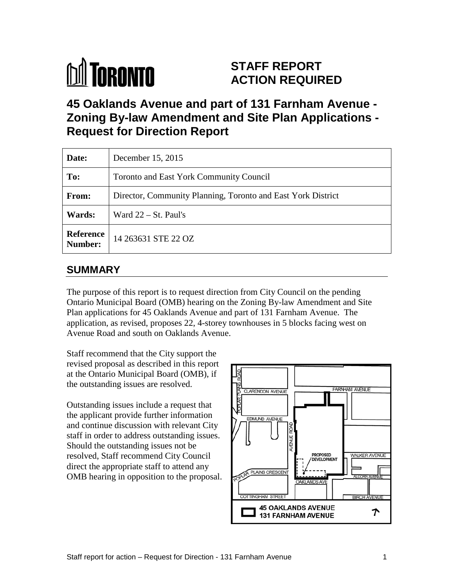# **M** TORONTO

# **STAFF REPORT ACTION REQUIRED**

**45 Oaklands Avenue and part of 131 Farnham Avenue - Zoning By-law Amendment and Site Plan Applications - Request for Direction Report**

| Date:                       | December 15, 2015                                            |
|-----------------------------|--------------------------------------------------------------|
| To:                         | <b>Toronto and East York Community Council</b>               |
| <b>From:</b>                | Director, Community Planning, Toronto and East York District |
| Wards:                      | Ward $22 - St.$ Paul's                                       |
| <b>Reference</b><br>Number: | 14 263631 STE 22 OZ                                          |

# **SUMMARY**

The purpose of this report is to request direction from City Council on the pending Ontario Municipal Board (OMB) hearing on the Zoning By-law Amendment and Site Plan applications for 45 Oaklands Avenue and part of 131 Farnham Avenue. The application, as revised, proposes 22, 4-storey townhouses in 5 blocks facing west on Avenue Road and south on Oaklands Avenue.

Staff recommend that the City support the revised proposal as described in this report at the Ontario Municipal Board (OMB), if the outstanding issues are resolved.

Outstanding issues include a request that the applicant provide further information and continue discussion with relevant City staff in order to address outstanding issues. Should the outstanding issues not be resolved, Staff recommend City Council direct the appropriate staff to attend any OMB hearing in opposition to the proposal.

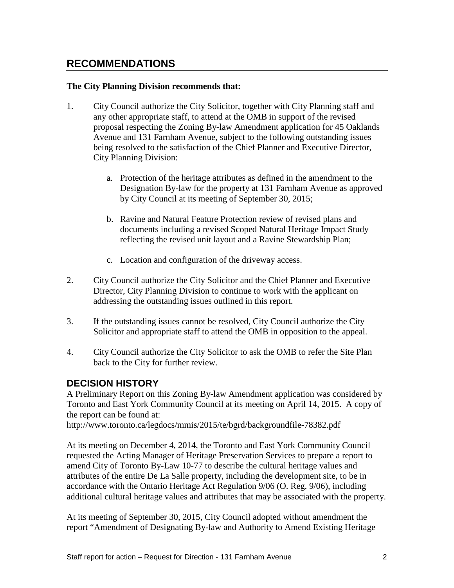# **RECOMMENDATIONS**

#### **The City Planning Division recommends that:**

- 1. City Council authorize the City Solicitor, together with City Planning staff and any other appropriate staff, to attend at the OMB in support of the revised proposal respecting the Zoning By-law Amendment application for 45 Oaklands Avenue and 131 Farnham Avenue, subject to the following outstanding issues being resolved to the satisfaction of the Chief Planner and Executive Director, City Planning Division:
	- a. Protection of the heritage attributes as defined in the amendment to the Designation By-law for the property at 131 Farnham Avenue as approved by City Council at its meeting of September 30, 2015;
	- b. Ravine and Natural Feature Protection review of revised plans and documents including a revised Scoped Natural Heritage Impact Study reflecting the revised unit layout and a Ravine Stewardship Plan;
	- c. Location and configuration of the driveway access.
- 2. City Council authorize the City Solicitor and the Chief Planner and Executive Director, City Planning Division to continue to work with the applicant on addressing the outstanding issues outlined in this report.
- 3. If the outstanding issues cannot be resolved, City Council authorize the City Solicitor and appropriate staff to attend the OMB in opposition to the appeal.
- 4. City Council authorize the City Solicitor to ask the OMB to refer the Site Plan back to the City for further review.

## **DECISION HISTORY**

A Preliminary Report on this Zoning By-law Amendment application was considered by Toronto and East York Community Council at its meeting on April 14, 2015. A copy of the report can be found at:

http://www.toronto.ca/legdocs/mmis/2015/te/bgrd/backgroundfile-78382.pdf

At its meeting on December 4, 2014, the Toronto and East York Community Council requested the Acting Manager of Heritage Preservation Services to prepare a report to amend City of Toronto By-Law 10-77 to describe the cultural heritage values and attributes of the entire De La Salle property, including the development site, to be in accordance with the Ontario Heritage Act Regulation 9/06 (O. Reg. 9/06), including additional cultural heritage values and attributes that may be associated with the property.

At its meeting of September 30, 2015, City Council adopted without amendment the report "Amendment of Designating By-law and Authority to Amend Existing Heritage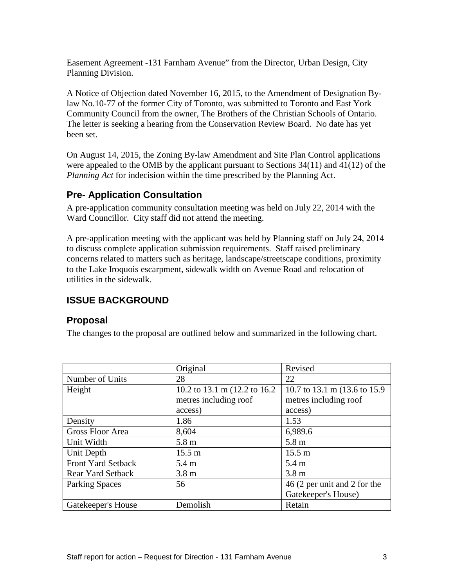Easement Agreement -131 Farnham Avenue" from the Director, Urban Design, City Planning Division.

A Notice of Objection dated November 16, 2015, to the Amendment of Designation Bylaw No.10-77 of the former City of Toronto, was submitted to Toronto and East York Community Council from the owner, The Brothers of the Christian Schools of Ontario. The letter is seeking a hearing from the Conservation Review Board. No date has yet been set.

On August 14, 2015, the Zoning By-law Amendment and Site Plan Control applications were appealed to the OMB by the applicant pursuant to Sections 34(11) and 41(12) of the *Planning Act* for indecision within the time prescribed by the Planning Act.

## **Pre- Application Consultation**

A pre-application community consultation meeting was held on July 22, 2014 with the Ward Councillor. City staff did not attend the meeting.

A pre-application meeting with the applicant was held by Planning staff on July 24, 2014 to discuss complete application submission requirements. Staff raised preliminary concerns related to matters such as heritage, landscape/streetscape conditions, proximity to the Lake Iroquois escarpment, sidewalk width on Avenue Road and relocation of utilities in the sidewalk.

# **ISSUE BACKGROUND**

## **Proposal**

The changes to the proposal are outlined below and summarized in the following chart.

|                           | Original                                 | Revised                       |  |  |  |  |
|---------------------------|------------------------------------------|-------------------------------|--|--|--|--|
| Number of Units           | 28                                       | 22                            |  |  |  |  |
| Height                    | 10.2 to 13.1 m $(12.2 \text{ to } 16.2)$ | 10.7 to 13.1 m (13.6 to 15.9) |  |  |  |  |
|                           | metres including roof                    | metres including roof         |  |  |  |  |
|                           | access)                                  | access)                       |  |  |  |  |
| Density                   | 1.86                                     | 1.53                          |  |  |  |  |
| <b>Gross Floor Area</b>   | 8,604                                    | 6,989.6                       |  |  |  |  |
| Unit Width                | 5.8 m                                    | 5.8 m                         |  |  |  |  |
| Unit Depth                | $15.5 \text{ m}$                         | 15.5 m                        |  |  |  |  |
| <b>Front Yard Setback</b> | 5.4 m                                    | 5.4 m                         |  |  |  |  |
| <b>Rear Yard Setback</b>  | 3.8 <sub>m</sub>                         | 3.8 <sub>m</sub>              |  |  |  |  |
| <b>Parking Spaces</b>     | 56                                       | 46 (2 per unit and 2 for the  |  |  |  |  |
|                           |                                          | Gatekeeper's House)           |  |  |  |  |
| Gatekeeper's House        | Demolish                                 | Retain                        |  |  |  |  |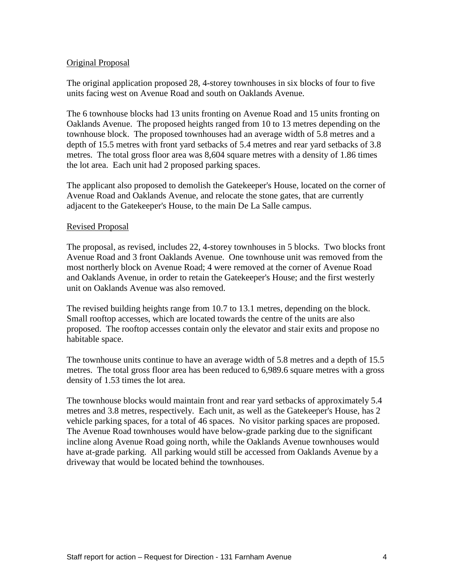#### Original Proposal

The original application proposed 28, 4-storey townhouses in six blocks of four to five units facing west on Avenue Road and south on Oaklands Avenue.

The 6 townhouse blocks had 13 units fronting on Avenue Road and 15 units fronting on Oaklands Avenue. The proposed heights ranged from 10 to 13 metres depending on the townhouse block. The proposed townhouses had an average width of 5.8 metres and a depth of 15.5 metres with front yard setbacks of 5.4 metres and rear yard setbacks of 3.8 metres. The total gross floor area was 8,604 square metres with a density of 1.86 times the lot area. Each unit had 2 proposed parking spaces.

The applicant also proposed to demolish the Gatekeeper's House, located on the corner of Avenue Road and Oaklands Avenue, and relocate the stone gates, that are currently adjacent to the Gatekeeper's House, to the main De La Salle campus.

#### Revised Proposal

The proposal, as revised, includes 22, 4-storey townhouses in 5 blocks. Two blocks front Avenue Road and 3 front Oaklands Avenue. One townhouse unit was removed from the most northerly block on Avenue Road; 4 were removed at the corner of Avenue Road and Oaklands Avenue, in order to retain the Gatekeeper's House; and the first westerly unit on Oaklands Avenue was also removed.

The revised building heights range from 10.7 to 13.1 metres, depending on the block. Small rooftop accesses, which are located towards the centre of the units are also proposed. The rooftop accesses contain only the elevator and stair exits and propose no habitable space.

The townhouse units continue to have an average width of 5.8 metres and a depth of 15.5 metres. The total gross floor area has been reduced to 6,989.6 square metres with a gross density of 1.53 times the lot area.

The townhouse blocks would maintain front and rear yard setbacks of approximately 5.4 metres and 3.8 metres, respectively. Each unit, as well as the Gatekeeper's House, has 2 vehicle parking spaces, for a total of 46 spaces. No visitor parking spaces are proposed. The Avenue Road townhouses would have below-grade parking due to the significant incline along Avenue Road going north, while the Oaklands Avenue townhouses would have at-grade parking. All parking would still be accessed from Oaklands Avenue by a driveway that would be located behind the townhouses.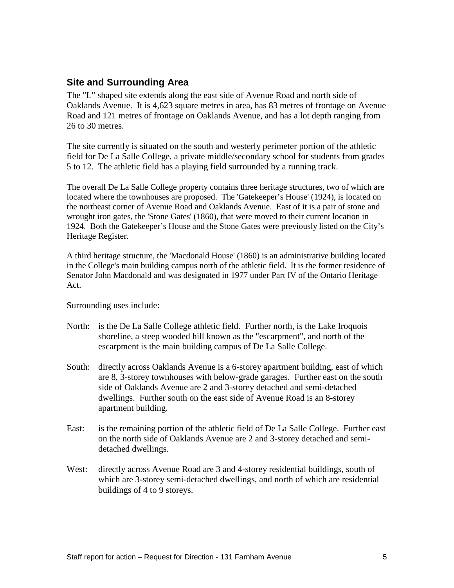## **Site and Surrounding Area**

The "L" shaped site extends along the east side of Avenue Road and north side of Oaklands Avenue. It is 4,623 square metres in area, has 83 metres of frontage on Avenue Road and 121 metres of frontage on Oaklands Avenue, and has a lot depth ranging from 26 to 30 metres.

The site currently is situated on the south and westerly perimeter portion of the athletic field for De La Salle College, a private middle/secondary school for students from grades 5 to 12. The athletic field has a playing field surrounded by a running track.

The overall De La Salle College property contains three heritage structures, two of which are located where the townhouses are proposed. The 'Gatekeeper's House' (1924), is located on the northeast corner of Avenue Road and Oaklands Avenue. East of it is a pair of stone and wrought iron gates, the 'Stone Gates' (1860), that were moved to their current location in 1924. Both the Gatekeeper's House and the Stone Gates were previously listed on the City's Heritage Register.

A third heritage structure, the 'Macdonald House' (1860) is an administrative building located in the College's main building campus north of the athletic field. It is the former residence of Senator John Macdonald and was designated in 1977 under Part IV of the Ontario Heritage Act.

Surrounding uses include:

- North: is the De La Salle College athletic field. Further north, is the Lake Iroquois shoreline, a steep wooded hill known as the "escarpment", and north of the escarpment is the main building campus of De La Salle College.
- South: directly across Oaklands Avenue is a 6-storey apartment building, east of which are 8, 3-storey townhouses with below-grade garages. Further east on the south side of Oaklands Avenue are 2 and 3-storey detached and semi-detached dwellings. Further south on the east side of Avenue Road is an 8-storey apartment building.
- East: is the remaining portion of the athletic field of De La Salle College. Further east on the north side of Oaklands Avenue are 2 and 3-storey detached and semidetached dwellings.
- West: directly across Avenue Road are 3 and 4-storey residential buildings, south of which are 3-storey semi-detached dwellings, and north of which are residential buildings of 4 to 9 storeys.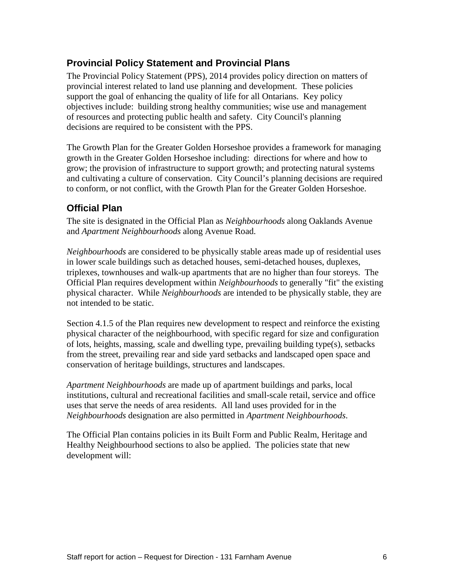# **Provincial Policy Statement and Provincial Plans**

The Provincial Policy Statement (PPS), 2014 provides policy direction on matters of provincial interest related to land use planning and development. These policies support the goal of enhancing the quality of life for all Ontarians. Key policy objectives include: building strong healthy communities; wise use and management of resources and protecting public health and safety. City Council's planning decisions are required to be consistent with the PPS.

The Growth Plan for the Greater Golden Horseshoe provides a framework for managing growth in the Greater Golden Horseshoe including: directions for where and how to grow; the provision of infrastructure to support growth; and protecting natural systems and cultivating a culture of conservation. City Council's planning decisions are required to conform, or not conflict, with the Growth Plan for the Greater Golden Horseshoe.

## **Official Plan**

The site is designated in the Official Plan as *Neighbourhoods* along Oaklands Avenue and *Apartment Neighbourhoods* along Avenue Road.

*Neighbourhoods* are considered to be physically stable areas made up of residential uses in lower scale buildings such as detached houses, semi-detached houses, duplexes, triplexes, townhouses and walk-up apartments that are no higher than four storeys. The Official Plan requires development within *Neighbourhoods* to generally "fit" the existing physical character. While *Neighbourhoods* are intended to be physically stable, they are not intended to be static.

Section 4.1.5 of the Plan requires new development to respect and reinforce the existing physical character of the neighbourhood, with specific regard for size and configuration of lots, heights, massing, scale and dwelling type, prevailing building type(s), setbacks from the street, prevailing rear and side yard setbacks and landscaped open space and conservation of heritage buildings, structures and landscapes.

*Apartment Neighbourhoods* are made up of apartment buildings and parks, local institutions, cultural and recreational facilities and small-scale retail, service and office uses that serve the needs of area residents. All land uses provided for in the *Neighbourhoods* designation are also permitted in *Apartment Neighbourhoods*.

The Official Plan contains policies in its Built Form and Public Realm, Heritage and Healthy Neighbourhood sections to also be applied. The policies state that new development will: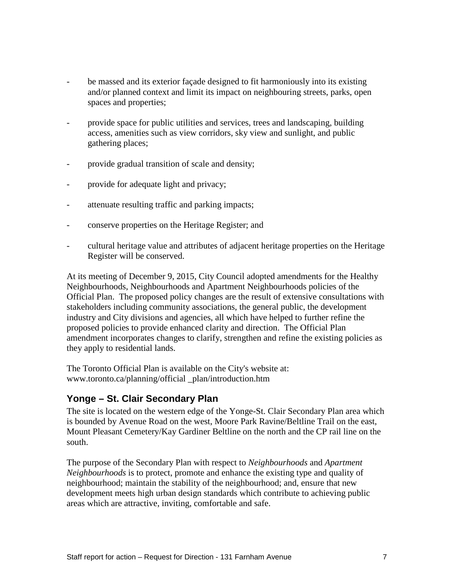- be massed and its exterior façade designed to fit harmoniously into its existing and/or planned context and limit its impact on neighbouring streets, parks, open spaces and properties;
- provide space for public utilities and services, trees and landscaping, building access, amenities such as view corridors, sky view and sunlight, and public gathering places;
- provide gradual transition of scale and density;
- provide for adequate light and privacy;
- attenuate resulting traffic and parking impacts;
- conserve properties on the Heritage Register; and
- cultural heritage value and attributes of adjacent heritage properties on the Heritage Register will be conserved.

At its meeting of December 9, 2015, City Council adopted amendments for the Healthy Neighbourhoods, Neighbourhoods and Apartment Neighbourhoods policies of the Official Plan. The proposed policy changes are the result of extensive consultations with stakeholders including community associations, the general public, the development industry and City divisions and agencies, all which have helped to further refine the proposed policies to provide enhanced clarity and direction. The Official Plan amendment incorporates changes to clarify, strengthen and refine the existing policies as they apply to residential lands.

The Toronto Official Plan is available on the City's website at: www.toronto.ca/planning/official \_plan/introduction.htm

## **Yonge – St. Clair Secondary Plan**

The site is located on the western edge of the Yonge-St. Clair Secondary Plan area which is bounded by Avenue Road on the west, Moore Park Ravine/Beltline Trail on the east, Mount Pleasant Cemetery/Kay Gardiner Beltline on the north and the CP rail line on the south.

The purpose of the Secondary Plan with respect to *Neighbourhoods* and *Apartment Neighbourhoods* is to protect, promote and enhance the existing type and quality of neighbourhood; maintain the stability of the neighbourhood; and, ensure that new development meets high urban design standards which contribute to achieving public areas which are attractive, inviting, comfortable and safe.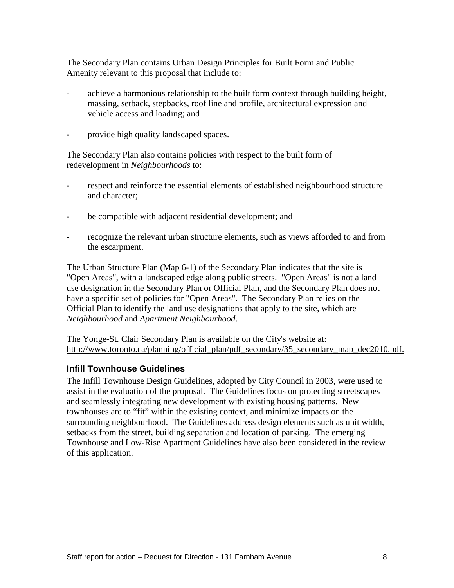The Secondary Plan contains Urban Design Principles for Built Form and Public Amenity relevant to this proposal that include to:

- achieve a harmonious relationship to the built form context through building height, massing, setback, stepbacks, roof line and profile, architectural expression and vehicle access and loading; and
- provide high quality landscaped spaces.

The Secondary Plan also contains policies with respect to the built form of redevelopment in *Neighbourhoods* to:

- respect and reinforce the essential elements of established neighbourhood structure and character;
- be compatible with adjacent residential development; and
- recognize the relevant urban structure elements, such as views afforded to and from the escarpment.

The Urban Structure Plan (Map 6-1) of the Secondary Plan indicates that the site is "Open Areas", with a landscaped edge along public streets. "Open Areas" is not a land use designation in the Secondary Plan or Official Plan, and the Secondary Plan does not have a specific set of policies for "Open Areas". The Secondary Plan relies on the Official Plan to identify the land use designations that apply to the site, which are *Neighbourhood* and *Apartment Neighbourhood*.

The Yonge-St. Clair Secondary Plan is available on the City's website at: http://www.toronto.ca/planning/official\_plan/pdf\_secondary/35\_secondary\_map\_dec2010.pdf.

#### **Infill Townhouse Guidelines**

The Infill Townhouse Design Guidelines, adopted by City Council in 2003, were used to assist in the evaluation of the proposal. The Guidelines focus on protecting streetscapes and seamlessly integrating new development with existing housing patterns. New townhouses are to "fit" within the existing context, and minimize impacts on the surrounding neighbourhood. The Guidelines address design elements such as unit width, setbacks from the street, building separation and location of parking. The emerging Townhouse and Low-Rise Apartment Guidelines have also been considered in the review of this application.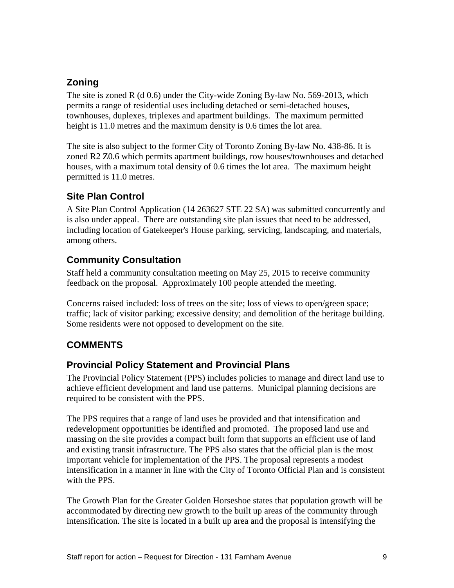# **Zoning**

The site is zoned R (d  $0.6$ ) under the City-wide Zoning By-law No. 569-2013, which permits a range of residential uses including detached or semi-detached houses, townhouses, duplexes, triplexes and apartment buildings. The maximum permitted height is 11.0 metres and the maximum density is 0.6 times the lot area.

The site is also subject to the former City of Toronto Zoning By-law No. 438-86. It is zoned R2 Z0.6 which permits apartment buildings, row houses/townhouses and detached houses, with a maximum total density of 0.6 times the lot area. The maximum height permitted is 11.0 metres.

# **Site Plan Control**

A Site Plan Control Application (14 263627 STE 22 SA) was submitted concurrently and is also under appeal. There are outstanding site plan issues that need to be addressed, including location of Gatekeeper's House parking, servicing, landscaping, and materials, among others.

# **Community Consultation**

Staff held a community consultation meeting on May 25, 2015 to receive community feedback on the proposal. Approximately 100 people attended the meeting.

Concerns raised included: loss of trees on the site; loss of views to open/green space; traffic; lack of visitor parking; excessive density; and demolition of the heritage building. Some residents were not opposed to development on the site.

# **COMMENTS**

# **Provincial Policy Statement and Provincial Plans**

The Provincial Policy Statement (PPS) includes policies to manage and direct land use to achieve efficient development and land use patterns. Municipal planning decisions are required to be consistent with the PPS.

The PPS requires that a range of land uses be provided and that intensification and redevelopment opportunities be identified and promoted. The proposed land use and massing on the site provides a compact built form that supports an efficient use of land and existing transit infrastructure. The PPS also states that the official plan is the most important vehicle for implementation of the PPS. The proposal represents a modest intensification in a manner in line with the City of Toronto Official Plan and is consistent with the PPS.

The Growth Plan for the Greater Golden Horseshoe states that population growth will be accommodated by directing new growth to the built up areas of the community through intensification. The site is located in a built up area and the proposal is intensifying the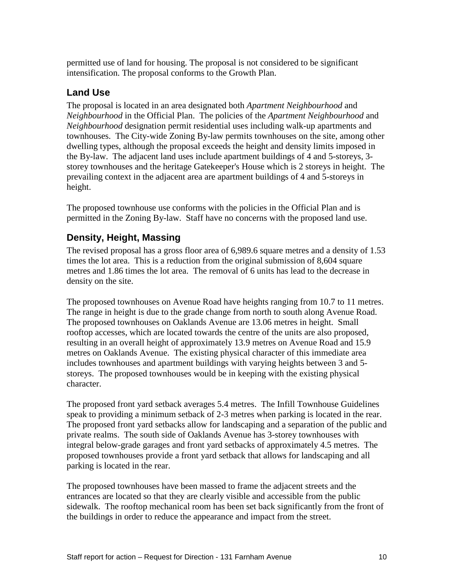permitted use of land for housing. The proposal is not considered to be significant intensification. The proposal conforms to the Growth Plan.

# **Land Use**

The proposal is located in an area designated both *Apartment Neighbourhood* and *Neighbourhood* in the Official Plan. The policies of the *Apartment Neighbourhood* and *Neighbourhood* designation permit residential uses including walk-up apartments and townhouses. The City-wide Zoning By-law permits townhouses on the site, among other dwelling types, although the proposal exceeds the height and density limits imposed in the By-law. The adjacent land uses include apartment buildings of 4 and 5-storeys, 3 storey townhouses and the heritage Gatekeeper's House which is 2 storeys in height. The prevailing context in the adjacent area are apartment buildings of 4 and 5-storeys in height.

The proposed townhouse use conforms with the policies in the Official Plan and is permitted in the Zoning By-law. Staff have no concerns with the proposed land use.

# **Density, Height, Massing**

The revised proposal has a gross floor area of 6,989.6 square metres and a density of 1.53 times the lot area. This is a reduction from the original submission of 8,604 square metres and 1.86 times the lot area. The removal of 6 units has lead to the decrease in density on the site.

The proposed townhouses on Avenue Road have heights ranging from 10.7 to 11 metres. The range in height is due to the grade change from north to south along Avenue Road. The proposed townhouses on Oaklands Avenue are 13.06 metres in height. Small rooftop accesses, which are located towards the centre of the units are also proposed, resulting in an overall height of approximately 13.9 metres on Avenue Road and 15.9 metres on Oaklands Avenue. The existing physical character of this immediate area includes townhouses and apartment buildings with varying heights between 3 and 5 storeys. The proposed townhouses would be in keeping with the existing physical character.

The proposed front yard setback averages 5.4 metres. The Infill Townhouse Guidelines speak to providing a minimum setback of 2-3 metres when parking is located in the rear. The proposed front yard setbacks allow for landscaping and a separation of the public and private realms. The south side of Oaklands Avenue has 3-storey townhouses with integral below-grade garages and front yard setbacks of approximately 4.5 metres. The proposed townhouses provide a front yard setback that allows for landscaping and all parking is located in the rear.

The proposed townhouses have been massed to frame the adjacent streets and the entrances are located so that they are clearly visible and accessible from the public sidewalk. The rooftop mechanical room has been set back significantly from the front of the buildings in order to reduce the appearance and impact from the street.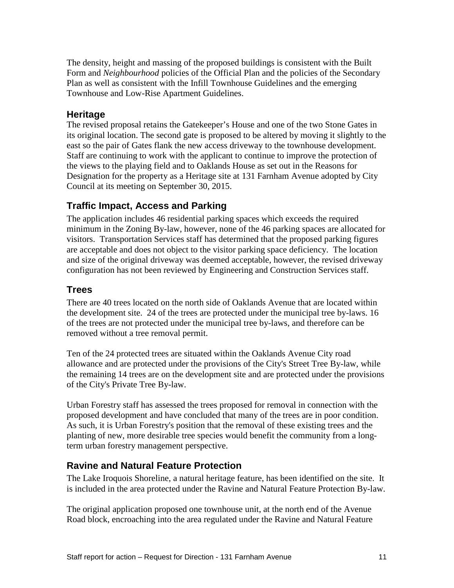The density, height and massing of the proposed buildings is consistent with the Built Form and *Neighbourhood* policies of the Official Plan and the policies of the Secondary Plan as well as consistent with the Infill Townhouse Guidelines and the emerging Townhouse and Low-Rise Apartment Guidelines.

#### **Heritage**

The revised proposal retains the Gatekeeper's House and one of the two Stone Gates in its original location. The second gate is proposed to be altered by moving it slightly to the east so the pair of Gates flank the new access driveway to the townhouse development. Staff are continuing to work with the applicant to continue to improve the protection of the views to the playing field and to Oaklands House as set out in the Reasons for Designation for the property as a Heritage site at 131 Farnham Avenue adopted by City Council at its meeting on September 30, 2015.

## **Traffic Impact, Access and Parking**

The application includes 46 residential parking spaces which exceeds the required minimum in the Zoning By-law, however, none of the 46 parking spaces are allocated for visitors. Transportation Services staff has determined that the proposed parking figures are acceptable and does not object to the visitor parking space deficiency. The location and size of the original driveway was deemed acceptable, however, the revised driveway configuration has not been reviewed by Engineering and Construction Services staff.

## **Trees**

There are 40 trees located on the north side of Oaklands Avenue that are located within the development site. 24 of the trees are protected under the municipal tree by-laws. 16 of the trees are not protected under the municipal tree by-laws, and therefore can be removed without a tree removal permit.

Ten of the 24 protected trees are situated within the Oaklands Avenue City road allowance and are protected under the provisions of the City's Street Tree By-law, while the remaining 14 trees are on the development site and are protected under the provisions of the City's Private Tree By-law.

Urban Forestry staff has assessed the trees proposed for removal in connection with the proposed development and have concluded that many of the trees are in poor condition. As such, it is Urban Forestry's position that the removal of these existing trees and the planting of new, more desirable tree species would benefit the community from a longterm urban forestry management perspective.

#### **Ravine and Natural Feature Protection**

The Lake Iroquois Shoreline, a natural heritage feature, has been identified on the site. It is included in the area protected under the Ravine and Natural Feature Protection By-law.

The original application proposed one townhouse unit, at the north end of the Avenue Road block, encroaching into the area regulated under the Ravine and Natural Feature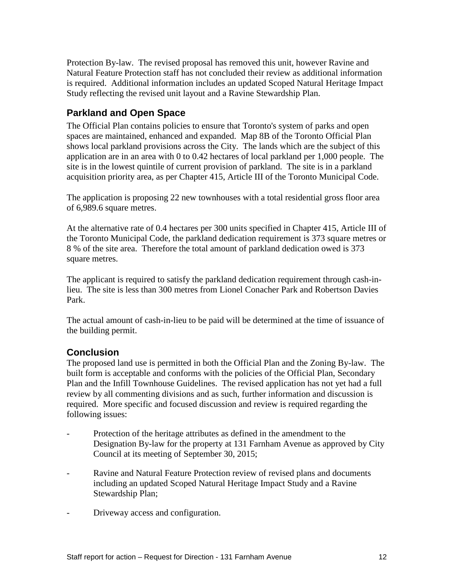Protection By-law. The revised proposal has removed this unit, however Ravine and Natural Feature Protection staff has not concluded their review as additional information is required. Additional information includes an updated Scoped Natural Heritage Impact Study reflecting the revised unit layout and a Ravine Stewardship Plan.

## **Parkland and Open Space**

The Official Plan contains policies to ensure that Toronto's system of parks and open spaces are maintained, enhanced and expanded. Map 8B of the Toronto Official Plan shows local parkland provisions across the City. The lands which are the subject of this application are in an area with 0 to 0.42 hectares of local parkland per 1,000 people. The site is in the lowest quintile of current provision of parkland. The site is in a parkland acquisition priority area, as per Chapter 415, Article III of the Toronto Municipal Code.

The application is proposing 22 new townhouses with a total residential gross floor area of 6,989.6 square metres.

At the alternative rate of 0.4 hectares per 300 units specified in Chapter 415, Article III of the Toronto Municipal Code, the parkland dedication requirement is 373 square metres or 8 % of the site area. Therefore the total amount of parkland dedication owed is 373 square metres.

The applicant is required to satisfy the parkland dedication requirement through cash-inlieu. The site is less than 300 metres from Lionel Conacher Park and Robertson Davies Park.

The actual amount of cash-in-lieu to be paid will be determined at the time of issuance of the building permit.

## **Conclusion**

The proposed land use is permitted in both the Official Plan and the Zoning By-law. The built form is acceptable and conforms with the policies of the Official Plan, Secondary Plan and the Infill Townhouse Guidelines. The revised application has not yet had a full review by all commenting divisions and as such, further information and discussion is required. More specific and focused discussion and review is required regarding the following issues:

- Protection of the heritage attributes as defined in the amendment to the Designation By-law for the property at 131 Farnham Avenue as approved by City Council at its meeting of September 30, 2015;
- Ravine and Natural Feature Protection review of revised plans and documents including an updated Scoped Natural Heritage Impact Study and a Ravine Stewardship Plan;
- Driveway access and configuration.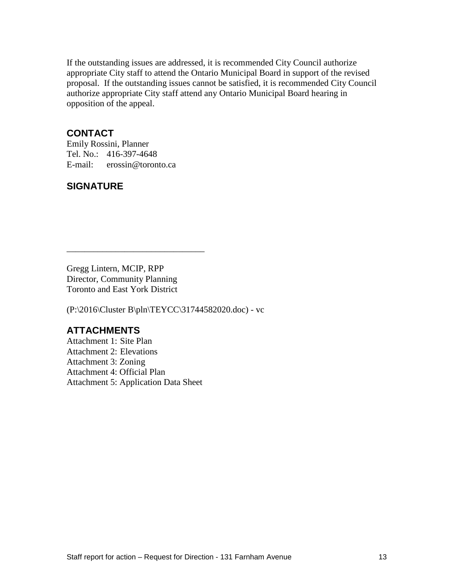If the outstanding issues are addressed, it is recommended City Council authorize appropriate City staff to attend the Ontario Municipal Board in support of the revised proposal. If the outstanding issues cannot be satisfied, it is recommended City Council authorize appropriate City staff attend any Ontario Municipal Board hearing in opposition of the appeal.

### **CONTACT**

Emily Rossini, Planner Tel. No.: 416-397-4648 E-mail: erossin@toronto.ca

## **SIGNATURE**

Gregg Lintern, MCIP, RPP Director, Community Planning Toronto and East York District

\_\_\_\_\_\_\_\_\_\_\_\_\_\_\_\_\_\_\_\_\_\_\_\_\_\_\_\_\_\_\_

(P:\2016\Cluster B\pln\TEYCC\31744582020.doc) - vc

### **ATTACHMENTS**

Attachment 1: Site Plan Attachment 2: Elevations Attachment 3: Zoning Attachment 4: Official Plan Attachment 5: Application Data Sheet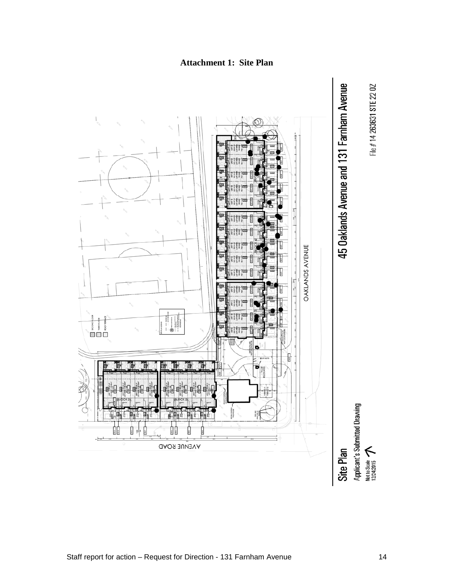

# **Attachment 1: Site Plan**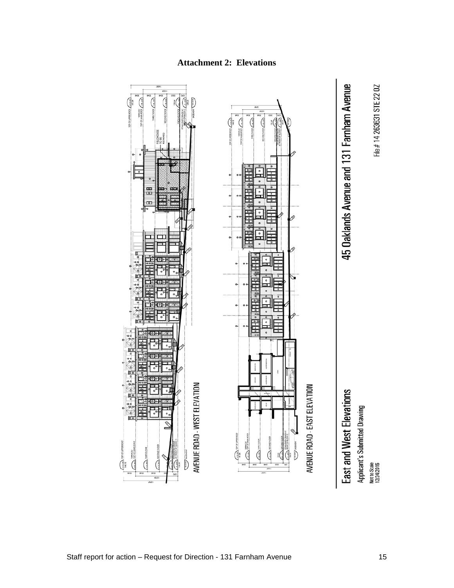

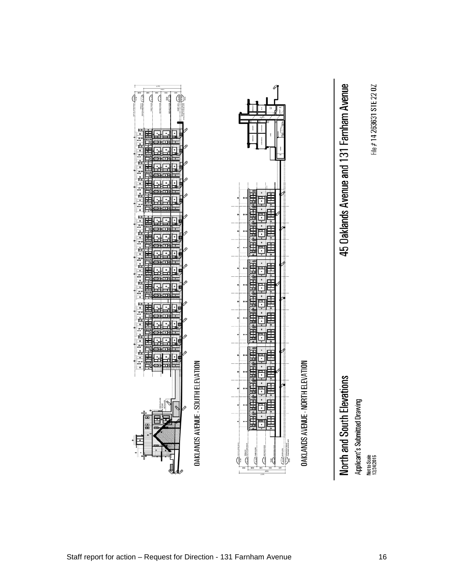



Not to Scale<br>12/24/2015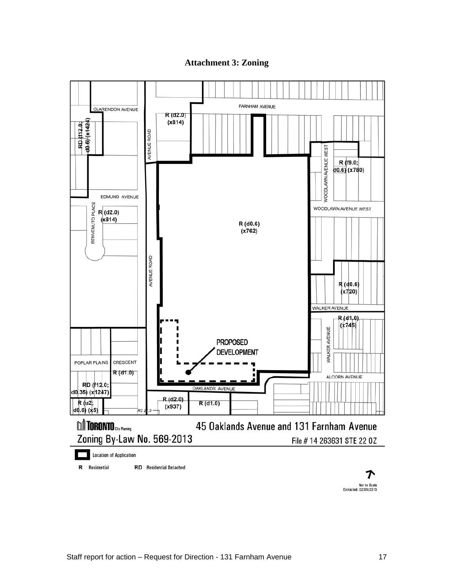#### **Attachment 3: Zoning**



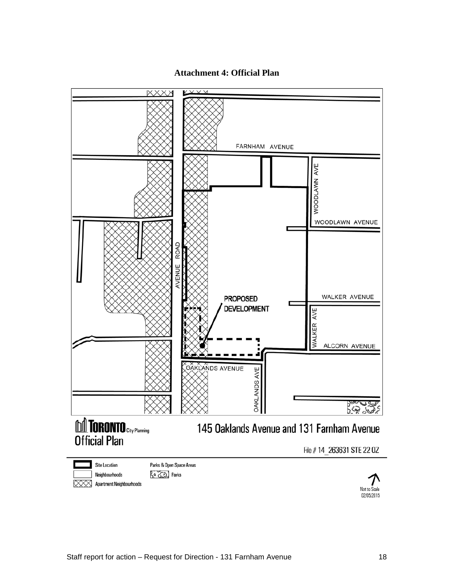#### **Attachment 4: Official Plan**